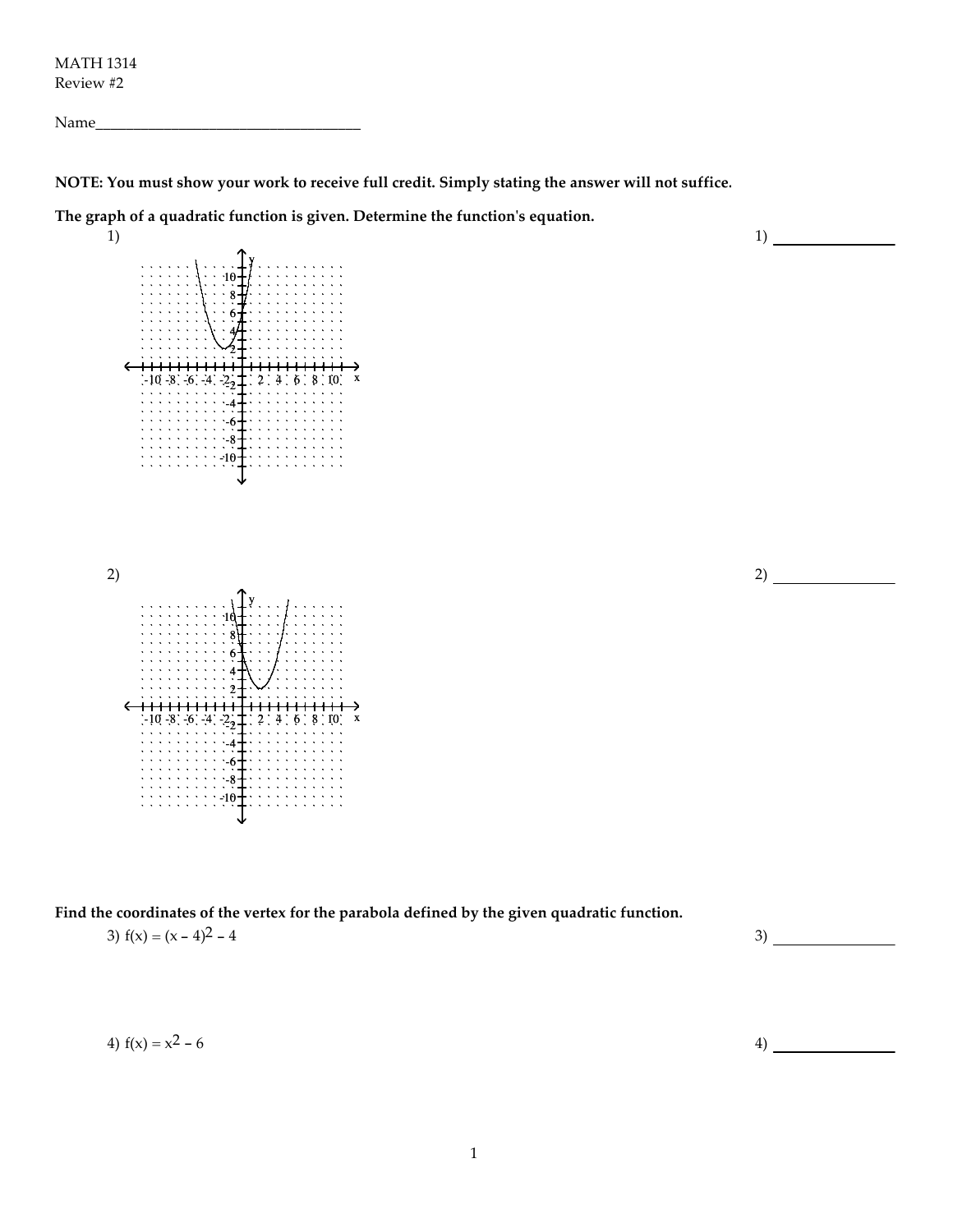MATH 1314 Review #2

Name\_\_\_\_\_\_\_\_\_\_\_\_\_\_\_\_\_\_\_\_\_\_\_\_\_\_\_\_\_\_\_\_\_\_\_

NOTE: You must show your work to receive full credit. Simply stating the answer will not suffice.

The graph of a quadratic function is given. Determine the function's equation.



Find the coordinates of the vertex for the parabola defined by the given quadratic function. 3)  $f(x) = (x - 4)^2 - 4$  3)

4) 
$$
f(x) = x^2 - 6
$$
 4)

1)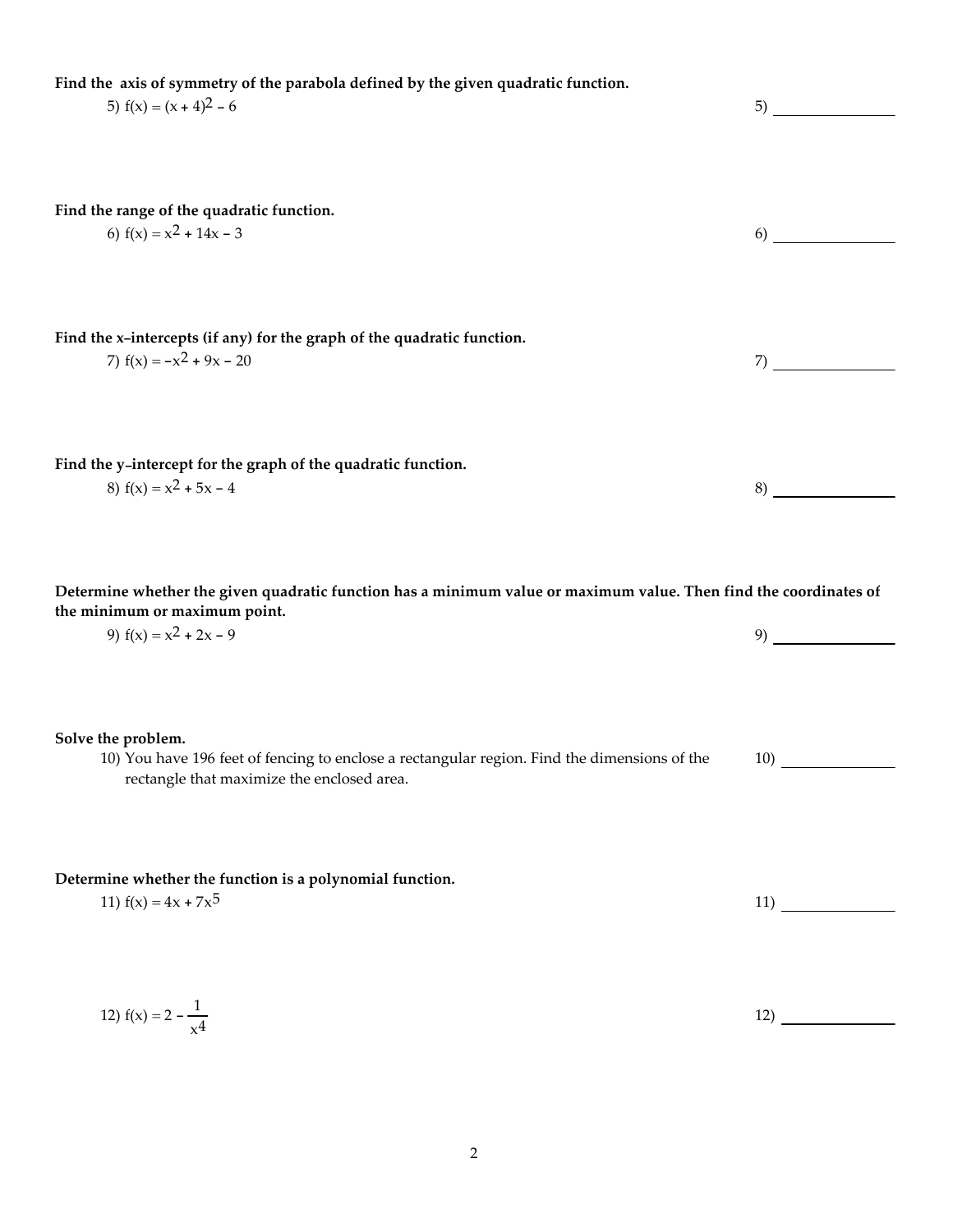| Find the axis of symmetry of the parabola defined by the given quadratic function.<br>5) $f(x) = (x + 4)^2 - 6$                                                                |     |
|--------------------------------------------------------------------------------------------------------------------------------------------------------------------------------|-----|
| Find the range of the quadratic function.<br>6) $f(x) = x^2 + 14x - 3$                                                                                                         | 6)  |
| Find the x-intercepts (if any) for the graph of the quadratic function.<br>7) $f(x) = -x^2 + 9x - 20$                                                                          | 7)  |
| Find the y-intercept for the graph of the quadratic function.<br>8) $f(x) = x^2 + 5x - 4$                                                                                      | 8)  |
| Determine whether the given quadratic function has a minimum value or maximum value. Then find the coordinates of<br>the minimum or maximum point.<br>9) $f(x) = x^2 + 2x - 9$ | 9)  |
| Solve the problem.<br>10) You have 196 feet of fencing to enclose a rectangular region. Find the dimensions of the<br>rectangle that maximize the enclosed area.               | 10) |
| Determine whether the function is a polynomial function.<br>11) $f(x) = 4x + 7x^5$                                                                                             | 11) |

2

12)

12)  $f(x) = 2 - \frac{1}{x}$ 

 $x^4$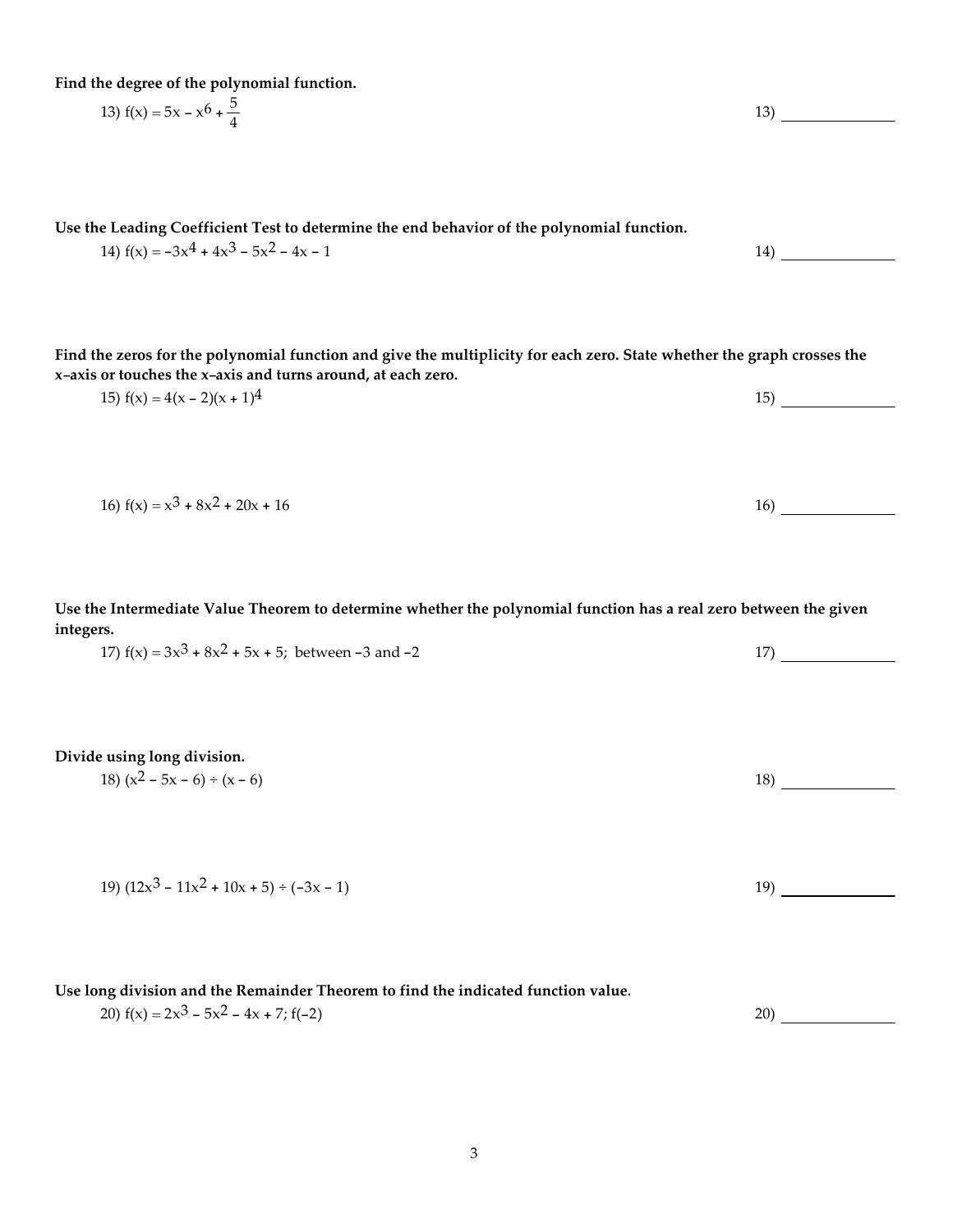Find the degree of the polynomial function.

13)  $f(x) = 5x - x^6 + \frac{5}{4}$ 4

Use the Leading Coefficient Test to determine the end behavior of the polynomial function.

Find the zeros for the polynomial function and give the multiplicity for each zero. State whether the graph crosses the x-axis or touches the x-axis and turns around, at each zero.

15)  $f(x) = 4(x - 2)(x + 1)^4$  15)

14)  $f(x) = -3x^4 + 4x^3 - 5x^2 - 4x - 1$  14)

16)  $f(x) = x^3 + 8x^2 + 20x + 16$  16

Use the Intermediate Value Theorem to determine whether the polynomial function has a real zero between the given integers.

17)  $f(x) = 3x^3 + 8x^2 + 5x + 5$ ; between -3 and -2 17)

Divide using long division.

| 18) $(x^2 - 5x - 6) \div (x - 6)$ |  |
|-----------------------------------|--|
|                                   |  |

| 19) $(12x^3 - 11x^2 + 10x + 5) \div (-3x - 1)$ |  |
|------------------------------------------------|--|
|------------------------------------------------|--|

Use long division and the Remainder Theorem to find the indicated function value.

20)  $f(x) = 2x^3 - 5x^2 - 4x + 7$ ;  $f(-2)$  20)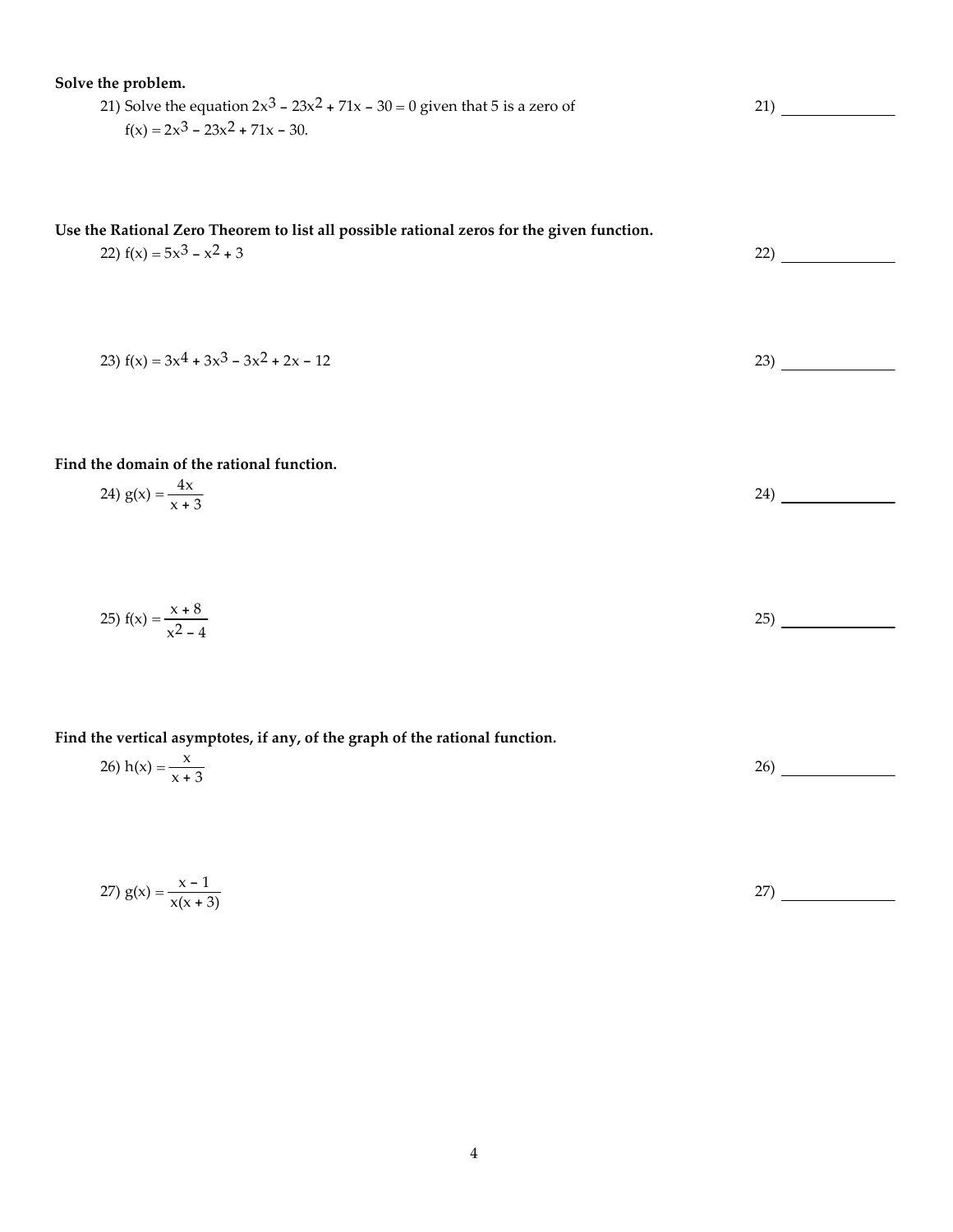| Solve the problem.<br>21) Solve the equation $2x^3 - 23x^2 + 71x - 30 = 0$ given that 5 is a zero of                     | 21)  |
|--------------------------------------------------------------------------------------------------------------------------|------|
| $f(x) = 2x^3 - 23x^2 + 71x - 30.$                                                                                        |      |
|                                                                                                                          |      |
|                                                                                                                          |      |
| Use the Rational Zero Theorem to list all possible rational zeros for the given function.<br>22) $f(x) = 5x^3 - x^2 + 3$ | 22)  |
|                                                                                                                          |      |
|                                                                                                                          |      |
| 23) $f(x) = 3x^4 + 3x^3 - 3x^2 + 2x - 12$                                                                                | 23)  |
|                                                                                                                          |      |
|                                                                                                                          |      |
| Find the domain of the rational function.                                                                                |      |
| 24) $g(x) = \frac{4x}{x + 3}$                                                                                            | 24)  |
|                                                                                                                          |      |
|                                                                                                                          |      |
| 25) $f(x) = \frac{x+8}{x^2-4}$                                                                                           | (25) |
|                                                                                                                          |      |
|                                                                                                                          |      |
| Find the vertical asymptotes, if any, of the graph of the rational function.                                             |      |
| 26) $h(x) = \frac{x}{x + 3}$                                                                                             | 26)  |
|                                                                                                                          |      |
|                                                                                                                          |      |

27)  $g(x) = \frac{x-1}{x}$  $\frac{x+1}{x(x+3)}$  27)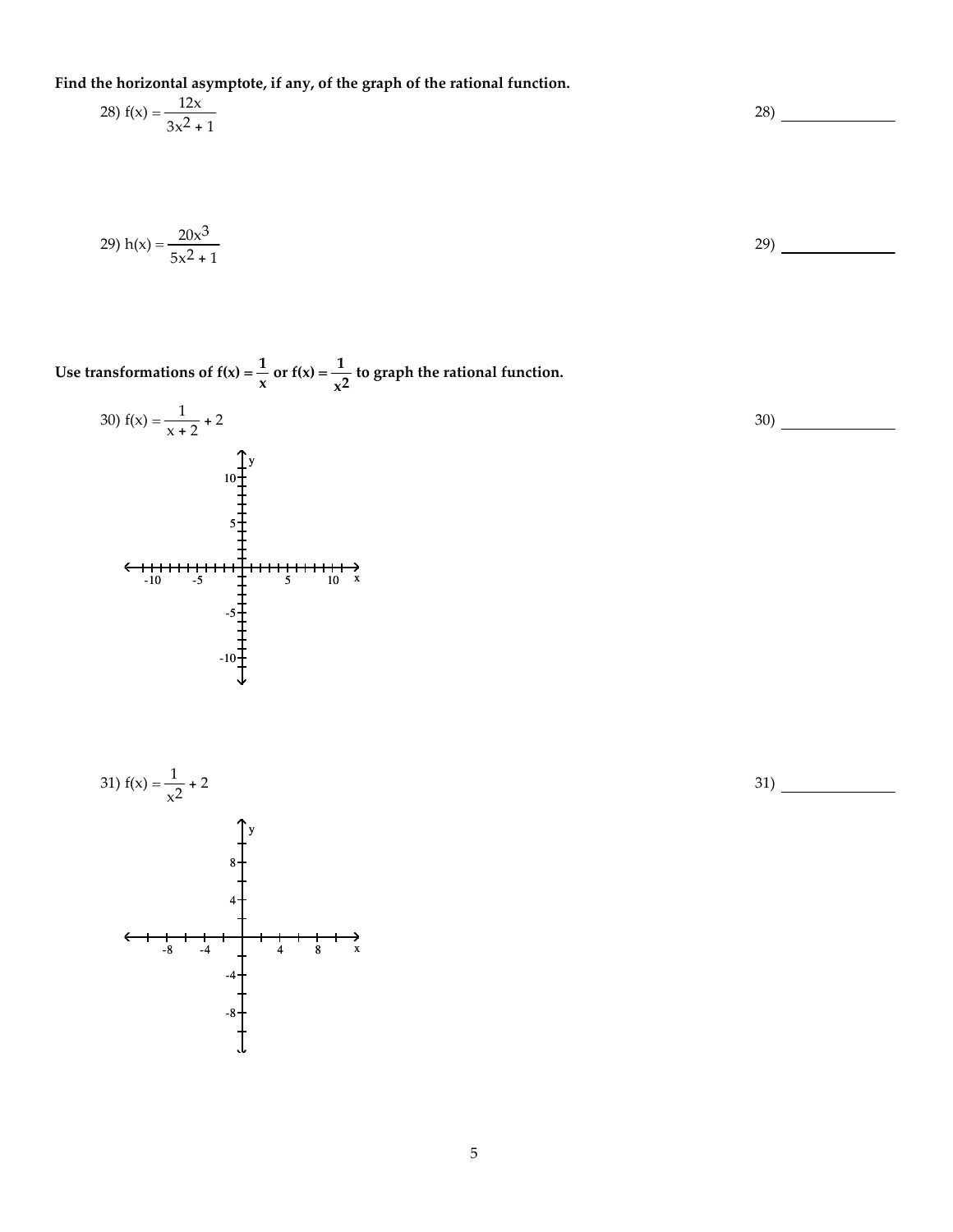Find the horizontal asymptote, if any, of the graph of the rational function.

$$
28) f(x) = \frac{12x}{3x^2 + 1}
$$

29) 
$$
h(x) = \frac{20x^3}{5x^2 + 1}
$$

Use transformations of  $f(x) = \frac{1}{x}$  $\frac{1}{x}$  or  $f(x) = \frac{1}{x^2}$  $\frac{1}{x^2}$  to graph the rational function.





31)



29)

28)

5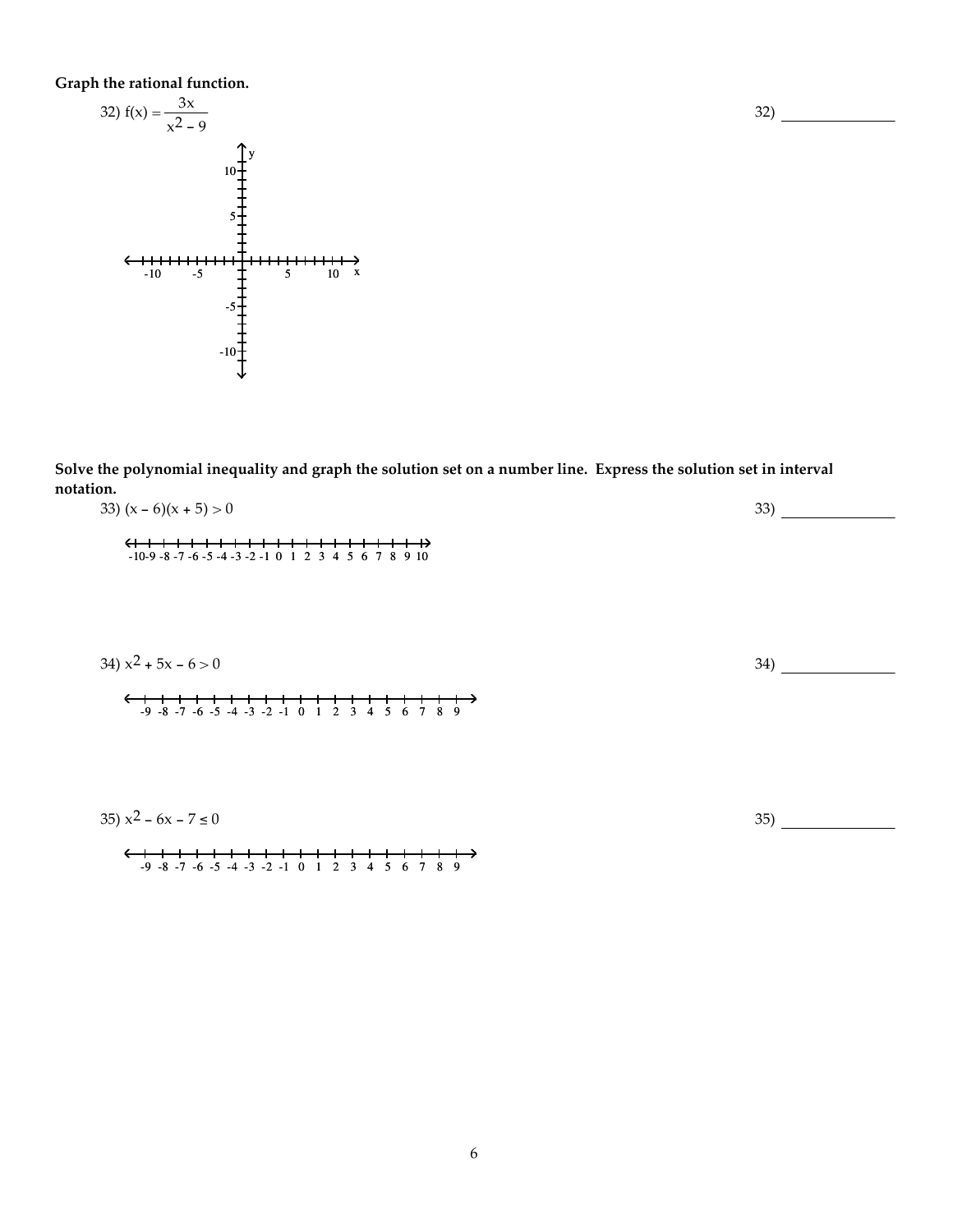Graph the rational function.



Solve the polynomial inequality and graph the solution set on a number line. Express the solution set in interval notation. 33)  $(x - 6)(x + 5) > 0$ 33)

| $JJ$ $(A - 0)(A + J) > 0$                                                                                                   | וטט |
|-----------------------------------------------------------------------------------------------------------------------------|-----|
| $-10-9$ -8 -7 -6 -5 -4 -3 -2 -1 0 1 2 3 4 5 6 7 8 9 10                                                                      |     |
| 34) $x^2 + 5x - 6 > 0$<br>$\leftarrow$<br>$\rightarrow$<br>$-9$ $-8$ $-7$ $-6$ $-5$ $-4$ $-3$ $-2$ $-1$ 0 1 2 3 4 5 6 7 8 9 | 34) |
| 35) $x^2 - 6x - 7 \le 0$                                                                                                    | 35) |
| ←<br>→<br>$-9$ $-8$ $-7$ $-6$ $-5$ $-4$ $-3$ $-2$ $-1$ 0 1 2 3 4 5 6 7<br>89                                                |     |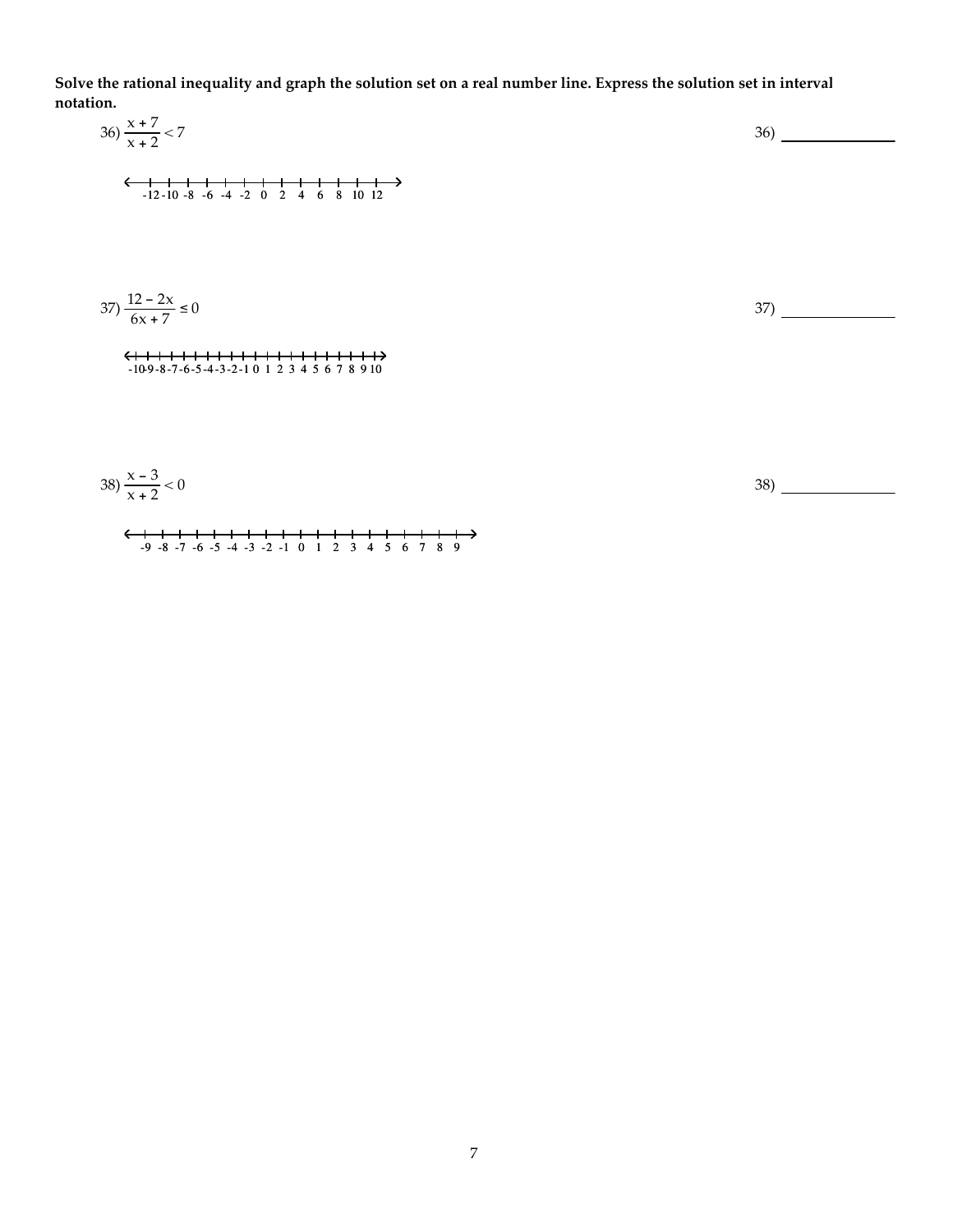Solve the rational inequality and graph the solution set on a real number line. Express the solution set in interval notation.

| 36) $\frac{x+7}{x+2} < 7$                                                   | 36) |
|-----------------------------------------------------------------------------|-----|
| $-12-10-8$ -6 -4 -2 0 2 4 6 8 10 12                                         |     |
|                                                                             |     |
|                                                                             |     |
| $37\frac{12-2x}{6x+7} \le 0$                                                | 37) |
| <del>&lt;+++++++++++++++++++++</del><br>$-10-9-8-7-6-5-4-3-2-1012345678910$ |     |
|                                                                             |     |
|                                                                             |     |

38) <sup>x</sup>-<sup>3</sup> x + 2 < 0 -9 -8 -7 -6 -5 -4 -3 -2 -1 0 1 2 3 4 5 6 7 8 9 38)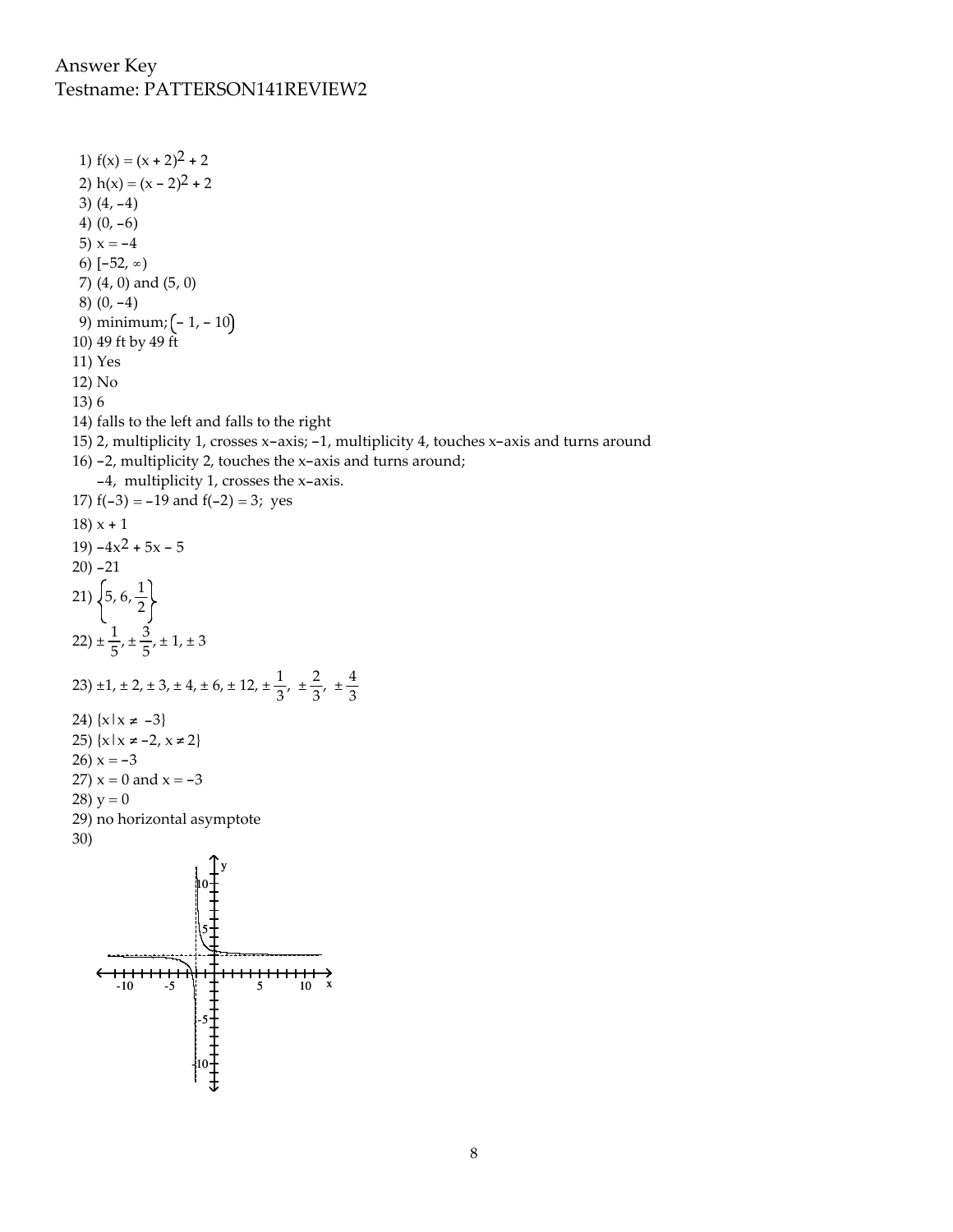## Answer Key Testname: PATTERSON141REVIEW2

-10

1)  $f(x) = (x + 2)^2 + 2$ 2)  $h(x) = (x - 2)^2 + 2$ 3)  $(4, -4)$ 4)  $(0, -6)$ 5)  $x = -4$ 6)  $[-52, \infty)$ 7) (4, 0) and (5, 0) 8) (0, -4) 9) minimum;  $(-1, -10)$ 10) 49 ft by 49 ft 11) Yes 12) No 13) 6 14) falls to the left and falls to the right 15) 2, multiplicity 1, crosses x-axis; -1, multiplicity 4, touches x-axis and turns around 16) -2, multiplicity 2, touches the x-axis and turns around; -4, multiplicity 1, crosses the x-axis. 17)  $f(-3) = -19$  and  $f(-2) = 3$ ; yes  $18) x + 1$ 19)  $-4x^2 + 5x - 5$ 20) -21 21)  $\left\{5, 6, \frac{1}{2}\right\}$ 22)  $\pm \frac{1}{5}$  $\frac{1}{5}$ ,  $\pm \frac{3}{5}$  $\frac{5}{5}$ , ± 1, ± 3 23) ±1, ± 2, ± 3, ± 4, ± 6, ± 12, ±  $\frac{1}{3}$ , ±  $\frac{2}{3}$  $\frac{2}{3}$ ,  $\pm \frac{4}{3}$ 3 24)  $\{x | x \neq -3\}$ 25)  $\{x | x ≠ -2, x ≠ 2\}$ 26)  $x = -3$ 27)  $x = 0$  and  $x = -3$ 28)  $y = 0$ 29) no horizontal asymptote 30) y 10 5  $\leftarrow$ <del>----------------------------</del> <del>...........</del>  $-10$   $-5$   $\frac{1}{2}$   $\frac{1}{2}$   $5$   $10$  x -5